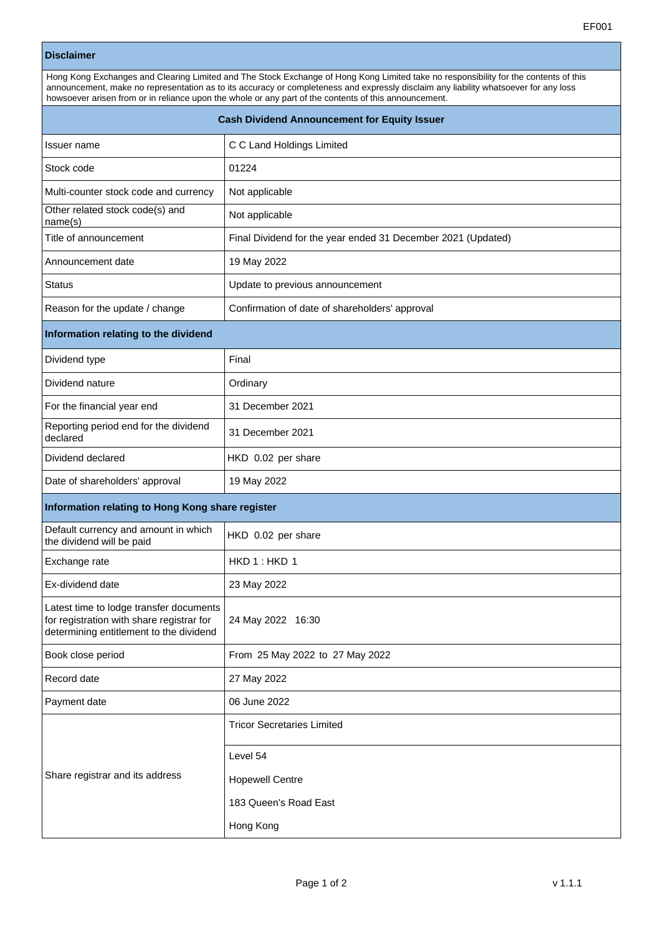## **Disclaimer**

| Hong Kong Exchanges and Clearing Limited and The Stock Exchange of Hong Kong Limited take no responsibility for the contents of this<br>announcement, make no representation as to its accuracy or completeness and expressly disclaim any liability whatsoever for any loss<br>howsoever arisen from or in reliance upon the whole or any part of the contents of this announcement. |                                                              |  |
|---------------------------------------------------------------------------------------------------------------------------------------------------------------------------------------------------------------------------------------------------------------------------------------------------------------------------------------------------------------------------------------|--------------------------------------------------------------|--|
| <b>Cash Dividend Announcement for Equity Issuer</b>                                                                                                                                                                                                                                                                                                                                   |                                                              |  |
| Issuer name                                                                                                                                                                                                                                                                                                                                                                           | C C Land Holdings Limited                                    |  |
| Stock code                                                                                                                                                                                                                                                                                                                                                                            | 01224                                                        |  |
| Multi-counter stock code and currency                                                                                                                                                                                                                                                                                                                                                 | Not applicable                                               |  |
| Other related stock code(s) and<br>name(s)                                                                                                                                                                                                                                                                                                                                            | Not applicable                                               |  |
| Title of announcement                                                                                                                                                                                                                                                                                                                                                                 | Final Dividend for the year ended 31 December 2021 (Updated) |  |
| Announcement date                                                                                                                                                                                                                                                                                                                                                                     | 19 May 2022                                                  |  |
| <b>Status</b>                                                                                                                                                                                                                                                                                                                                                                         | Update to previous announcement                              |  |
| Reason for the update / change                                                                                                                                                                                                                                                                                                                                                        | Confirmation of date of shareholders' approval               |  |
| Information relating to the dividend                                                                                                                                                                                                                                                                                                                                                  |                                                              |  |
| Dividend type                                                                                                                                                                                                                                                                                                                                                                         | Final                                                        |  |
| Dividend nature                                                                                                                                                                                                                                                                                                                                                                       | Ordinary                                                     |  |
| For the financial year end                                                                                                                                                                                                                                                                                                                                                            | 31 December 2021                                             |  |
| Reporting period end for the dividend<br>declared                                                                                                                                                                                                                                                                                                                                     | 31 December 2021                                             |  |
| Dividend declared                                                                                                                                                                                                                                                                                                                                                                     | HKD 0.02 per share                                           |  |
| Date of shareholders' approval                                                                                                                                                                                                                                                                                                                                                        | 19 May 2022                                                  |  |
| Information relating to Hong Kong share register                                                                                                                                                                                                                                                                                                                                      |                                                              |  |
| Default currency and amount in which<br>the dividend will be paid                                                                                                                                                                                                                                                                                                                     | HKD 0.02 per share                                           |  |
| Exchange rate                                                                                                                                                                                                                                                                                                                                                                         | HKD 1: HKD 1                                                 |  |
| Ex-dividend date                                                                                                                                                                                                                                                                                                                                                                      | 23 May 2022                                                  |  |
| Latest time to lodge transfer documents<br>for registration with share registrar for<br>determining entitlement to the dividend                                                                                                                                                                                                                                                       | 24 May 2022 16:30                                            |  |
| Book close period                                                                                                                                                                                                                                                                                                                                                                     | From 25 May 2022 to 27 May 2022                              |  |
| Record date                                                                                                                                                                                                                                                                                                                                                                           | 27 May 2022                                                  |  |
| Payment date                                                                                                                                                                                                                                                                                                                                                                          | 06 June 2022                                                 |  |
| Share registrar and its address                                                                                                                                                                                                                                                                                                                                                       | <b>Tricor Secretaries Limited</b>                            |  |
|                                                                                                                                                                                                                                                                                                                                                                                       | Level 54                                                     |  |
|                                                                                                                                                                                                                                                                                                                                                                                       | <b>Hopewell Centre</b>                                       |  |
|                                                                                                                                                                                                                                                                                                                                                                                       | 183 Queen's Road East                                        |  |
|                                                                                                                                                                                                                                                                                                                                                                                       | Hong Kong                                                    |  |